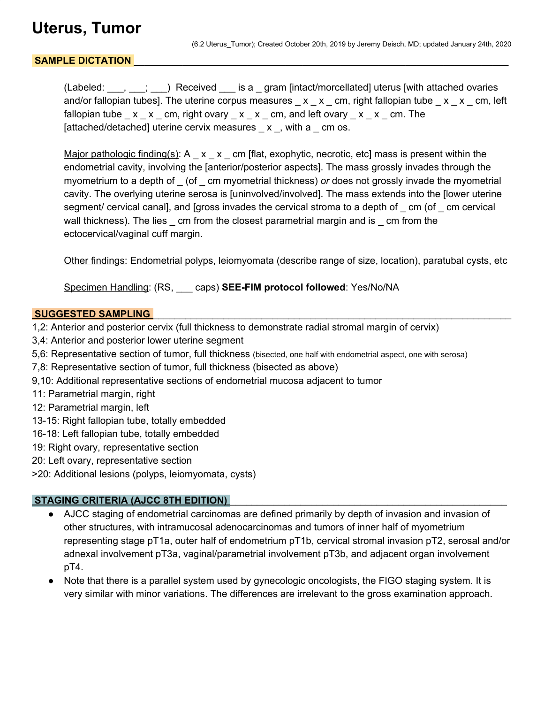## **Uterus, Tumor**

#### SAMPLE DICTATION

(Labeled:  $\ldots$ ,  $\ldots$ ;  $\ldots$ ) Received is a gram [intact/morcellated] uterus [with attached ovaries and/or fallopian tubes]. The uterine corpus measures  $x - x$  cm, right fallopian tube  $x - x$  cm, left fallopian tube  $\_\ x \_\ x \_\ cm$ , right ovary  $\_\ x \_\ x \_\ cm$ , and left ovary  $\_\ x \_\ x \_\ cm$ . The [attached/detached] uterine cervix measures  $\mathbf{x}$ , with a  $\mathbf{c}$  cm os.

Major pathologic finding(s): A  $\quad x \times \text{cm}$  [flat, exophytic, necrotic, etc] mass is present within the endometrial cavity, involving the [anterior/posterior aspects]. The mass grossly invades through the myometrium to a depth of \_ (of \_ cm myometrial thickness) *or* does not grossly invade the myometrial cavity. The overlying uterine serosa is [uninvolved/involved]. The mass extends into the [lower uterine segment/ cervical canal], and [gross invades the cervical stroma to a depth of cm (of cm cervical wall thickness). The lies cm from the closest parametrial margin and is cm from the ectocervical/vaginal cuff margin.

Other findings: Endometrial polyps, leiomyomata (describe range of size, location), paratubal cysts, etc

Specimen Handling: (RS, \_\_\_ caps) **SEE-FIM protocol followed**: Yes/No/NA

#### SUGGESTED SAMPLING

- 1,2: Anterior and posterior cervix (full thickness to demonstrate radial stromal margin of cervix)
- 3,4: Anterior and posterior lower uterine segment
- 5,6: Representative section of tumor, full thickness (bisected, one half with endometrial aspect, one with serosa)
- 7,8: Representative section of tumor, full thickness (bisected as above)
- 9,10: Additional representative sections of endometrial mucosa adjacent to tumor
- 11: Parametrial margin, right
- 12: Parametrial margin, left
- 13-15: Right fallopian tube, totally embedded
- 16-18: Left fallopian tube, totally embedded
- 19: Right ovary, representative section
- 20: Left ovary, representative section
- >20: Additional lesions (polyps, leiomyomata, cysts)

#### **STAGING CRITERIA (AJCC 8TH EDITION)**

- AJCC staging of endometrial carcinomas are defined primarily by depth of invasion and invasion of other structures, with intramucosal adenocarcinomas and tumors of inner half of myometrium representing stage pT1a, outer half of endometrium pT1b, cervical stromal invasion pT2, serosal and/or adnexal involvement pT3a, vaginal/parametrial involvement pT3b, and adjacent organ involvement pT4.
- Note that there is a parallel system used by gynecologic oncologists, the FIGO staging system. It is very similar with minor variations. The differences are irrelevant to the gross examination approach.